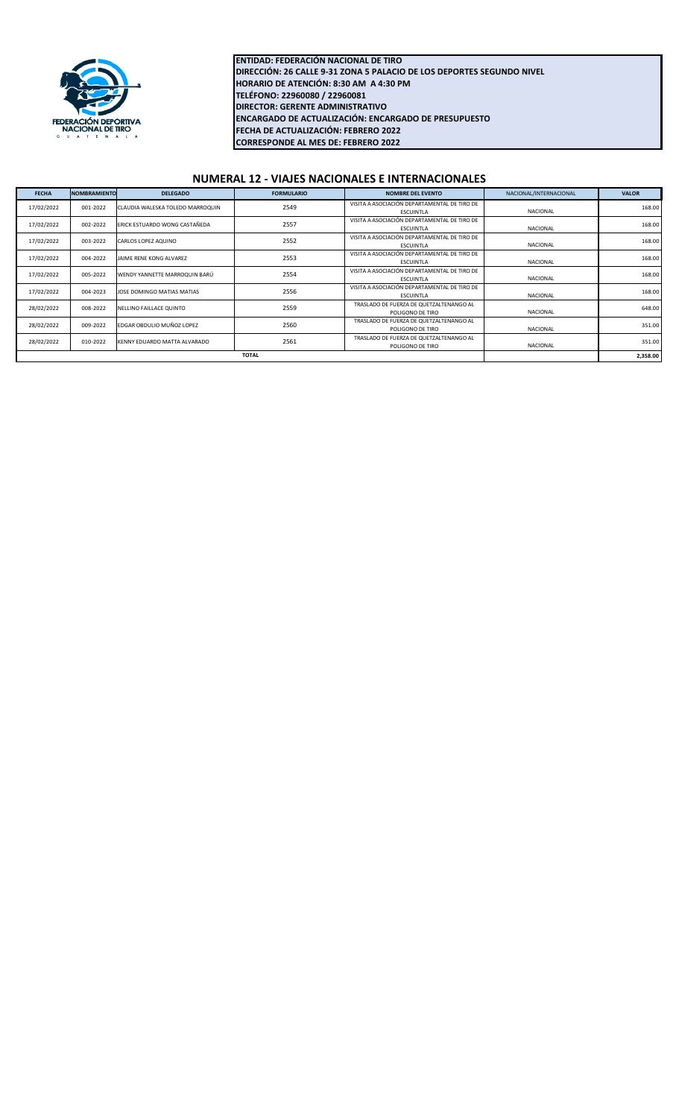

**FECHA DE ACTUALIZACIÓN: FEBRERO 2022 CORRESPONDE AL MES DE: FEBRERO 2022 ENTIDAD: FEDERACIÓN NACIONAL DE TIRO DIRECCIÓN: 26 CALLE 9-31 ZONA 5 PALACIO DE LOS DEPORTES SEGUNDO NIVEL HORARIO DE ATENCIÓN: 8:30 AM A 4:30 PM TELÉFONO: 22960080 / 22960081 DIRECTOR: GERENTE ADMINISTRATIVO ENCARGADO DE ACTUALIZACIÓN: ENCARGADO DE PRESUPUESTO**

## **NUMERAL 12 - VIAJES NACIONALES E INTERNACIONALES**

| <b>FECHA</b> | <b>NOMBRAMIENTO</b> | <b>DELEGADO</b>                  | <b>FORMULARIO</b> | <b>NOMBRE DEL EVENTO</b>                                         | NACIONAL/INTERNACIONAL | <b>VALOR</b> |
|--------------|---------------------|----------------------------------|-------------------|------------------------------------------------------------------|------------------------|--------------|
| 17/02/2022   | 001-2022            | CLAUDIA WALESKA TOLEDO MARROQUIN | 2549              | VISITA A ASOCIACIÓN DEPARTAMENTAL DE TIRO DE<br><b>ESCUINTLA</b> | NACIONAL               | 168.00       |
| 17/02/2022   | 002-2022            | ERICK ESTUARDO WONG CASTAÑEDA    | 2557              | VISITA A ASOCIACIÓN DEPARTAMENTAL DE TIRO DE<br>ESCUINTLA        | NACIONAL               | 168.00       |
| 17/02/2022   | 003-2022            | CARLOS LOPEZ AQUINO              | 2552              | VISITA A ASOCIACIÓN DEPARTAMENTAL DE TIRO DE<br>ESCUINTLA        | NACIONAL               | 168.00       |
| 17/02/2022   | 004-2022            | JAIME RENE KONG ALVAREZ          | 2553              | VISITA A ASOCIACIÓN DEPARTAMENTAL DE TIRO DE<br>ESCUINTLA        | NACIONAL               | 168.00       |
| 17/02/2022   | 005-2022            | WENDY YANNETTE MARROQUIN BARÚ    | 2554              | VISITA A ASOCIACIÓN DEPARTAMENTAL DE TIRO DE<br>ESCUINTLA        | NACIONAL               | 168.00       |
| 17/02/2022   | 004-2023            | JOSE DOMINGO MATIAS MATIAS       | 2556              | VISITA A ASOCIACIÓN DEPARTAMENTAL DE TIRO DE<br>ESCUINTLA        | NACIONAL               | 168.00       |
| 28/02/2022   | 008-2022            | NELLINO FAILLACE QUINTO          | 2559              | TRASLADO DE FUERZA DE QUETZALTENANGO AL<br>POLIGONO DE TIRO      | NACIONAL               | 648.00       |
| 28/02/2022   | 009-2022            | EDGAR OBDULIO MUÑOZ LOPEZ        | 2560              | TRASLADO DE FUERZA DE QUETZALTENANGO AL<br>POLIGONO DE TIRO      | NACIONAL               | 351.00       |
| 28/02/2022   | 010-2022            | KENNY EDUARDO MATTA ALVARADO     | 2561              | TRASLADO DE FUERZA DE QUETZALTENANGO AL<br>POLIGONO DE TIRO      | NACIONAL               | 351.00       |
| <b>TOTAL</b> |                     |                                  |                   |                                                                  |                        | 2,358.00     |